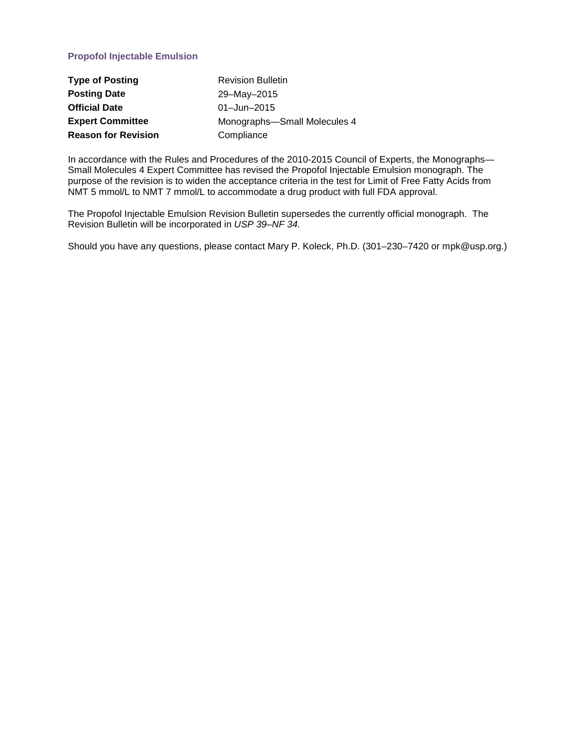## **Propofol Injectable Emulsion**

| <b>Type of Posting</b>     | <b>Revision Bulletin</b>     |
|----------------------------|------------------------------|
| <b>Posting Date</b>        | 29-May-2015                  |
| <b>Official Date</b>       | $01 - Jun - 2015$            |
| <b>Expert Committee</b>    | Monographs-Small Molecules 4 |
| <b>Reason for Revision</b> | Compliance                   |

In accordance with the Rules and Procedures of the 2010-2015 Council of Experts, the Monographs— Small Molecules 4 Expert Committee has revised the Propofol Injectable Emulsion monograph. The purpose of the revision is to widen the acceptance criteria in the test for Limit of Free Fatty Acids from NMT 5 mmol/L to NMT 7 mmol/L to accommodate a drug product with full FDA approval.

The Propofol Injectable Emulsion Revision Bulletin supersedes the currently official monograph. The Revision Bulletin will be incorporated in *USP 39–NF 34.*

Should you have any questions, please contact Mary P. Koleck, Ph.D. (301–230–7420 or mpk@usp.org.)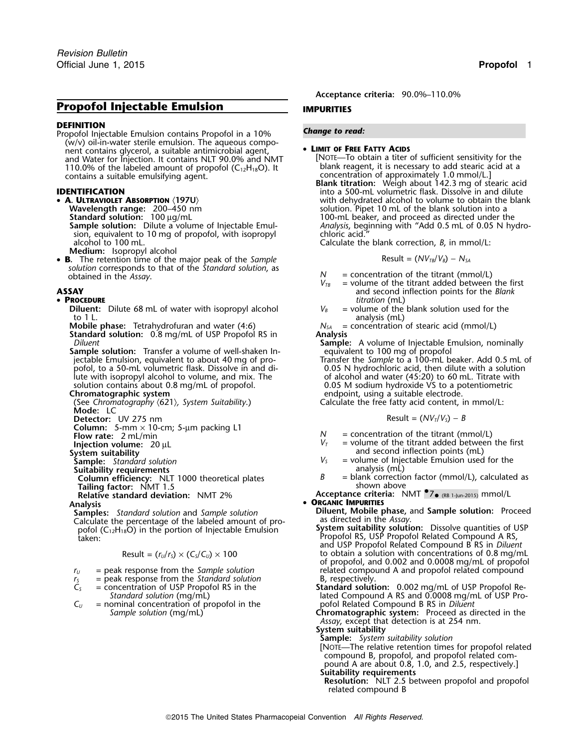# **Propofol Injectable Emulsion IMPURITIES**

**DEFINITION**<br>Propofol Injectable Emulsion contains Propofol in a 10% **Change to read:**  $(w/v)$  oil-in-water sterile emulsion. The aqueous component contains glycerol, a suitable antimicrobial agent, • **<sup>L</sup>IMIT OF FREE FATTY ACIDS** and Water for Injection. It contains NLT 90.0% and NMT [NOTE—To obtain a titer of sufficient sensitivity for the<br>110.0% of the labeled amount of propofol (C<sub>12</sub>H<sub>18</sub>O). It blank reagent, it is necessary to add stearic acid 110.0% of the labeled amount of propofol ( $C_{12}H_{18}O$ ). It contains a suitable emulsifying agent.

- A. ULTRAVIOLET ABSORPTION (197U) sion, equivalent to 10 mg of propofol, with isopropyl chloric acid." alcohol to 100 mL. Calculate the blank correction, *B*, in mmol/L:
	- **Medium:** Isopropyl alcohol
- **B.** The retention time of the major peak of the *Sample* Result = ( $NV_{TB}/V_B$ ) −  $N_{SA}$ *solution* corresponds to that of the *Standard solution*, as

### • PROCEDURE

- **Diluent:** Dilute 68 mL of water with isopropyl alcohol  $V_B$ to 1 L.<br> **Altergate:** Tetrahydrofuran and water (4:6)  $N_{SA}$  = concentration of stearic acid (mmol/L)
- **Mobile phase:** Tetrahydrofuran and water (4:6) *N<sub>SA</sub>* =  $N_{SA}$  **Analysis** (Marrow of USP Propofol RS in **Analysis Standard solution:** 0.8 mg/mL of USP Propofol RS in
- **Sample solution:** Transfer a volume of well-shaken In-<br>jectable Emulsion, equivalent to about 40 mg of propofol, to a 50-mL volumetric flask. Dissolve in and di- 0.05 N hydrochloric acid, then dilute with a solution lute with isopropyl alcohol to volume, and mix. The  $\hphantom{\text{u}^{\mathrm{u}}}\qquad$  of alcohol and water (45:20) to 60 mL. Titrate with
- **Chromatographic system**<br>
(See Chromatography (621), System Suitability.) endpoint, using a suitable electrode. **Mode:** LC
- 
- **Column:** 5-mm × 10-cm; 5-µm packing L1
- 
- 

- 
- 
- **Tailing factor:** NMT 1.5 shown above shown above **Relative standard deviation:** NMT 2% **Acceptance criteria:** NMT •7• (RB 1-Jun-2015) mmol/L

**Samples:** *Standard solution* and *Sample solution* **Diluent, Mobile phase, Calculate the phase, Calculate the assay** Calculate the percentage of the labeled amount of propofol (C **System suitability solution:** Dissolve quantities of USP <sup>12</sup>H18O) in the portion of Injectable Emulsion Propofol RS, USP Propofol Related Compound A RS, taken:

$$
Result = (r_U/r_S) \times (C_S/C_U) \times 100
$$

- 
- *r* = peak response from the *Standard solution* = concentration of USP Propofol RS in the
- $C_U$  = nominal concentration of propofol in the *Sample solution* (mg/mL)

**Acceptance criteria:** 90.0%–110.0%

contains a suitable emulsifying agent.<br>**Blank titration:** Weigh about 142.3 mg of stearic acid **IDENTIFICATION IDENTIFICATION into a 500-mL volumetric flask. Dissolve in and dilute A ULTRAVIOLET ABSORPTION**  $\langle 197U \rangle$ <br>
Wavelength range: 200–450 nm<br>
Standard solution: 100 µg/ml<br>
Standard solution: 100 µg/ml solution. Pipet 10 mL of the blank solution into a Standard solution: 100 µg/mL<br>**Sample solution:** Dilute a volume of Injectable Emul-<br>Analysis, beginning with "Add 0.5 mL of 0.05 N hy Analysis, beginning with "Add 0.5 mL of 0.05 N hydro-<br>chloric acid."

$$
Result = (NV_{TR}/V_B) - N_{SA}
$$

- 
- $N =$  concentration of the titrant (mmol/L)  $V_{TB} =$  volume of the titrant added between the first **ASSAY** and second inflection points for the *Blank*
	- *ittration* (mL)<br>= volume of the blank solution used for the

*Diluent* **Sample:** A volume of Injectable Emulsion, nominally

- equivalent to 100 mg of propofol<br>Transfer the *Sample* to a 100-mL beaker. Add 0.5 mL of<br>0.05 N hydrochloric acid, then dilute with a solution solution contains about 0.8 mg/mL of propofol. 0.05 M sodium hydroxide VS to a potentiometric<br> **Chromatographic system** endpoint, using a suitable electrode.
	- Calculate the free fatty acid content, in mmol/L:

**Detector:** UV 275 nm 
$$
R = (NV_T/V_S) - B
$$

- 
- **Flow rate:**  $2 \text{ ml/min}$  20 µL  $\frac{1}{20 \text{ µC}}$  *N* = concentration of the titrant (mmol/L)  $V_T$  = volume of the titrant added between the first **Injection volume:**  $20 \text{ µC}$  **Injection volume:**  $20 \text{ µC}$  **Injection volu**
- **System suitability**<br>
System suitability<br>
Sample: Standard solution<br>
Sample: Standard solution **Sample:** *Standard solution <sup>V</sup><sup>S</sup>* = volume of Injectable Emulsion used for the
- **Suitability requirements**<br>**Column efficiency**: NLT 1000 theoretical plates **analysis (mL)** analysis (mL) analysis (mL) calculated as **Column efficiency:** NLT 1000 theoretical plates  $B =$  blank correction factor (mmol/L), calculated as
	-

- **Analysis <sup>O</sup>RGANIC IMPURITIES**
- and USP Propofol Related Compound B RS in *Diluent* to obtain a solution with concentrations of 0.8 mg/mL of propofol, and 0.002 and 0.0008 mg/mL of propofol *r*<sub>*U*</sub> = peak response from the *Sample solution* related compound A and propofol related compound  $r_s$  = peak response from the *Standard solution* B, respectively.<br>  $C_s$  = concentration of USP Propofol RS in the **Stand** 
	- oncentration of USP Propofol RS in the **Standard solution:** 0.002 mg/mL of USP Propofol Re-<br>Standard solution (mg/mL) lated Compound A RS and 0.0008 mg/mL of USP Prolated Compound A RS and 0.0008 mg/mL of USP Pro-<br>pofol Related Compound B RS in *Diluent* 
		- **Chromatographic system:** Proceed as directed in the *Assay*, except that detection is at 254 nm.
		- **System suitability**
		- **Sample:** *System suitability solution* [NOTE—The relative retention times for propofol related compound B, propofol, and propofol related compound A are about 0.8, 1.0, and 2.5, respectively.]
		- **Suitability requirements**
		- **Resolution:** NLT 2.5 between propofol and propofol related compound B